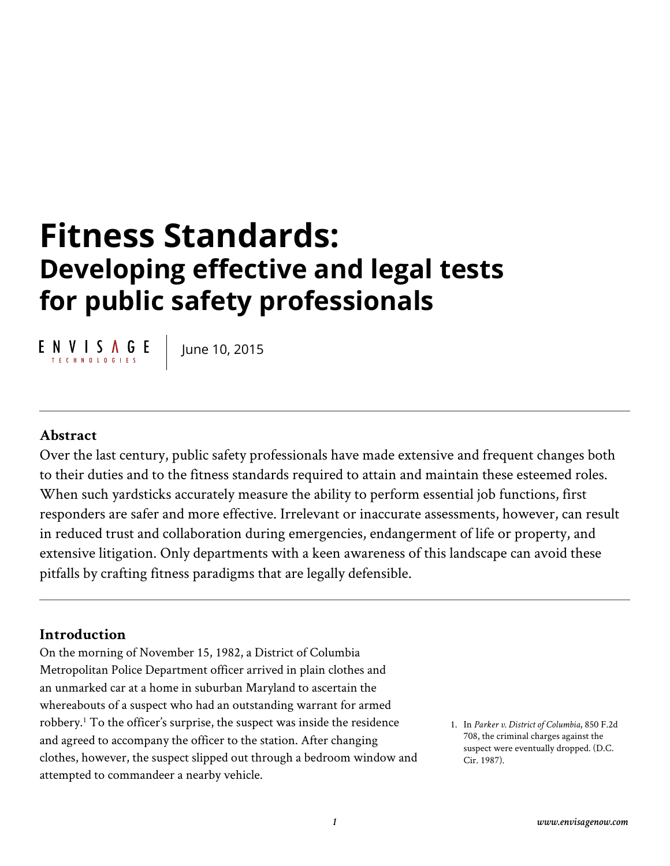# **Fitness Standards: Developing effective and legal tests for public safety professionals**

 $E \underset{\text{TECHNOLOGIES}}{\text{N}} \underbrace{\text{N}} \underset{\text{DLOGIES}}{\text{N}} E$ 

June 10, 2015

#### **Abstract**

Over the last century, public safety professionals have made extensive and frequent changes both to their duties and to the fitness standards required to attain and maintain these esteemed roles. When such yardsticks accurately measure the ability to perform essential job functions, first responders are safer and more effective. Irrelevant or inaccurate assessments, however, can result in reduced trust and collaboration during emergencies, endangerment of life or property, and extensive litigation. Only departments with a keen awareness of this landscape can avoid these pitfalls by crafting fitness paradigms that are legally defensible.

#### **Introduction**

On the morning of November 15, 1982, a District of Columbia Metropolitan Police Department officer arrived in plain clothes and an unmarked car at a home in suburban Maryland to ascertain the whereabouts of a suspect who had an outstanding warrant for armed robbery.1 To the officer's surprise, the suspect was inside the residence and agreed to accompany the officer to the station. After changing clothes, however, the suspect slipped out through a bedroom window and attempted to commandeer a nearby vehicle.

1. In *Parker v. District of Columbia*, 850 F.2d 708, the criminal charges against the suspect were eventually dropped. (D.C. Cir. 1987).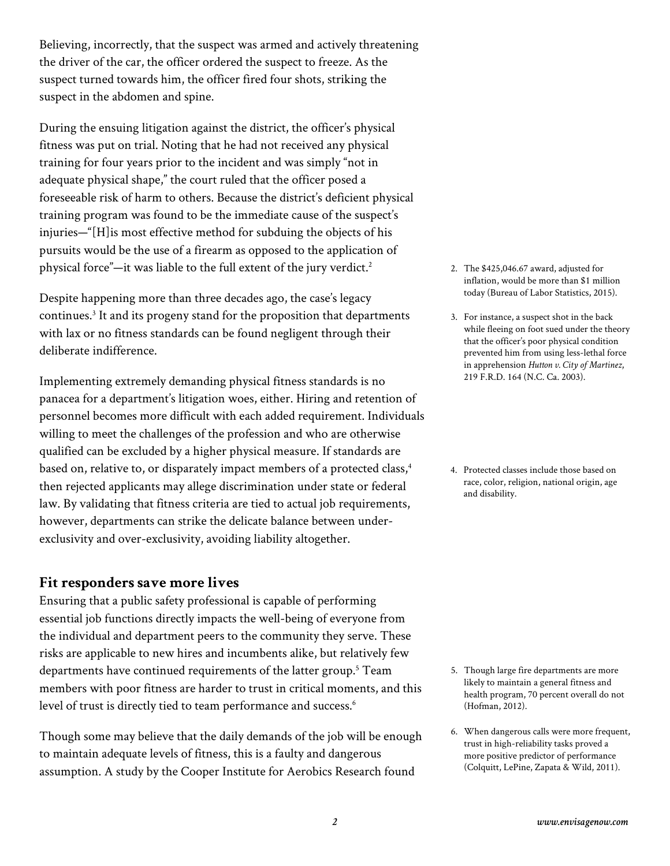Believing, incorrectly, that the suspect was armed and actively threatening the driver of the car, the officer ordered the suspect to freeze. As the suspect turned towards him, the officer fired four shots, striking the suspect in the abdomen and spine.

During the ensuing litigation against the district, the officer's physical fitness was put on trial. Noting that he had not received any physical training for four years prior to the incident and was simply "not in adequate physical shape," the court ruled that the officer posed a foreseeable risk of harm to others. Because the district's deficient physical training program was found to be the immediate cause of the suspect's injuries—"[H]is most effective method for subduing the objects of his pursuits would be the use of a firearm as opposed to the application of physical force"—it was liable to the full extent of the jury verdict.<sup>2</sup>

Despite happening more than three decades ago, the case's legacy continues.<sup>3</sup> It and its progeny stand for the proposition that departments with lax or no fitness standards can be found negligent through their deliberate indifference.

Implementing extremely demanding physical fitness standards is no panacea for a department's litigation woes, either. Hiring and retention of personnel becomes more difficult with each added requirement. Individuals willing to meet the challenges of the profession and who are otherwise qualified can be excluded by a higher physical measure. If standards are based on, relative to, or disparately impact members of a protected class,<sup>4</sup> then rejected applicants may allege discrimination under state or federal law. By validating that fitness criteria are tied to actual job requirements, however, departments can strike the delicate balance between underexclusivity and over-exclusivity, avoiding liability altogether.

#### **Fit responders save more lives**

Ensuring that a public safety professional is capable of performing essential job functions directly impacts the well-being of everyone from the individual and department peers to the community they serve. These risks are applicable to new hires and incumbents alike, but relatively few departments have continued requirements of the latter group.<sup>5</sup> Team members with poor fitness are harder to trust in critical moments, and this level of trust is directly tied to team performance and success.<sup>6</sup>

Though some may believe that the daily demands of the job will be enough to maintain adequate levels of fitness, this is a faulty and dangerous assumption. A study by the Cooper Institute for Aerobics Research found

- 2. The \$425,046.67 award, adjusted for inflation, would be more than \$1 million today (Bureau of Labor Statistics, 2015).
- 3. For instance, a suspect shot in the back while fleeing on foot sued under the theory that the officer's poor physical condition prevented him from using less-lethal force in apprehension *Hutton v. City of Martinez*, 219 F.R.D. 164 (N.C. Ca. 2003).
- 4. Protected classes include those based on race, color, religion, national origin, age and disability.

- 5. Though large fire departments are more likely to maintain a general fitness and health program, 70 percent overall do not (Hofman, 2012).
- 6. When dangerous calls were more frequent, trust in high-reliability tasks proved a more positive predictor of performance (Colquitt, LePine, Zapata & Wild, 2011).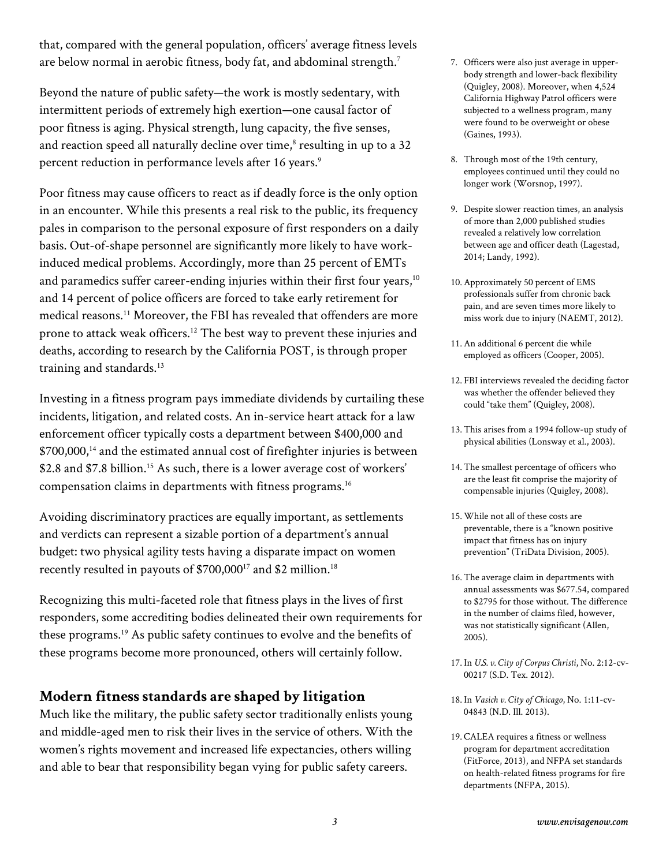that, compared with the general population, officers' average fitness levels are below normal in aerobic fitness, body fat, and abdominal strength.<sup>7</sup>

Beyond the nature of public safety—the work is mostly sedentary, with intermittent periods of extremely high exertion—one causal factor of poor fitness is aging. Physical strength, lung capacity, the five senses, and reaction speed all naturally decline over time, ${}^{8}$  resulting in up to a 32 percent reduction in performance levels after 16 years.<sup>9</sup>

Poor fitness may cause officers to react as if deadly force is the only option in an encounter. While this presents a real risk to the public, its frequency pales in comparison to the personal exposure of first responders on a daily basis. Out-of-shape personnel are significantly more likely to have workinduced medical problems. Accordingly, more than 25 percent of EMTs and paramedics suffer career-ending injuries within their first four years,<sup>10</sup> and 14 percent of police officers are forced to take early retirement for medical reasons.11 Moreover, the FBI has revealed that offenders are more prone to attack weak officers.12 The best way to prevent these injuries and deaths, according to research by the California POST, is through proper training and standards.<sup>13</sup>

Investing in a fitness program pays immediate dividends by curtailing these incidents, litigation, and related costs. An in-service heart attack for a law enforcement officer typically costs a department between \$400,000 and \$700,000,<sup>14</sup> and the estimated annual cost of firefighter injuries is between \$2.8 and \$7.8 billion.<sup>15</sup> As such, there is a lower average cost of workers' compensation claims in departments with fitness programs.16

Avoiding discriminatory practices are equally important, as settlements and verdicts can represent a sizable portion of a department's annual budget: two physical agility tests having a disparate impact on women recently resulted in payouts of \$700,000<sup>17</sup> and \$2 million.<sup>18</sup>

Recognizing this multi-faceted role that fitness plays in the lives of first responders, some accrediting bodies delineated their own requirements for these programs.19 As public safety continues to evolve and the benefits of these programs become more pronounced, others will certainly follow.

# **Modern fitness standards are shaped by litigation**

Much like the military, the public safety sector traditionally enlists young and middle-aged men to risk their lives in the service of others. With the women's rights movement and increased life expectancies, others willing and able to bear that responsibility began vying for public safety careers.

- 7. Officers were also just average in upperbody strength and lower-back flexibility (Quigley, 2008). Moreover, when 4,524 California Highway Patrol officers were subjected to a wellness program, many were found to be overweight or obese (Gaines, 1993).
- 8. Through most of the 19th century, employees continued until they could no longer work (Worsnop, 1997).
- 9. Despite slower reaction times, an analysis of more than 2,000 published studies revealed a relatively low correlation between age and officer death (Lagestad, 2014; Landy, 1992).
- 10.Approximately 50 percent of EMS professionals suffer from chronic back pain, and are seven times more likely to miss work due to injury (NAEMT, 2012).
- 11.An additional 6 percent die while employed as officers (Cooper, 2005).
- 12. FBI interviews revealed the deciding factor was whether the offender believed they could "take them" (Quigley, 2008).
- 13.This arises from a 1994 follow-up study of physical abilities (Lonsway et al., 2003).
- 14.The smallest percentage of officers who are the least fit comprise the majority of compensable injuries (Quigley, 2008).
- 15.While not all of these costs are preventable, there is a "known positive impact that fitness has on injury prevention" (TriData Division, 2005).
- 16.The average claim in departments with annual assessments was \$677.54, compared to \$2795 for those without. The difference in the number of claims filed, however, was not statistically significant (Allen, 2005).
- 17. In *U.S. v. City of Corpus Christi*, No. 2:12-cv-00217 (S.D. Tex. 2012).
- 18. In *Vasich v. City of Chicago*, No. 1:11-cv-04843 (N.D. Ill. 2013).
- 19.CALEA requires a fitness or wellness program for department accreditation (FitForce, 2013), and NFPA set standards on health-related fitness programs for fire departments (NFPA, 2015).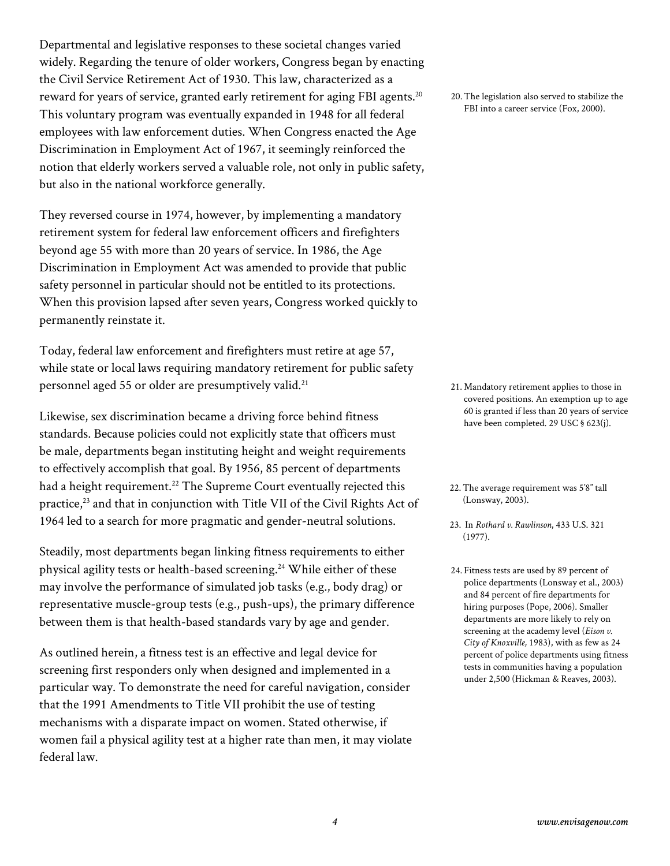Departmental and legislative responses to these societal changes varied widely. Regarding the tenure of older workers, Congress began by enacting the Civil Service Retirement Act of 1930. This law, characterized as a reward for years of service, granted early retirement for aging FBI agents.<sup>20</sup> This voluntary program was eventually expanded in 1948 for all federal employees with law enforcement duties. When Congress enacted the Age Discrimination in Employment Act of 1967, it seemingly reinforced the notion that elderly workers served a valuable role, not only in public safety, but also in the national workforce generally.

They reversed course in 1974, however, by implementing a mandatory retirement system for federal law enforcement officers and firefighters beyond age 55 with more than 20 years of service. In 1986, the Age Discrimination in Employment Act was amended to provide that public safety personnel in particular should not be entitled to its protections. When this provision lapsed after seven years, Congress worked quickly to permanently reinstate it.

Today, federal law enforcement and firefighters must retire at age 57, while state or local laws requiring mandatory retirement for public safety personnel aged 55 or older are presumptively valid.<sup>21</sup>

Likewise, sex discrimination became a driving force behind fitness standards. Because policies could not explicitly state that officers must be male, departments began instituting height and weight requirements to effectively accomplish that goal. By 1956, 85 percent of departments had a height requirement.<sup>22</sup> The Supreme Court eventually rejected this practice,<sup>23</sup> and that in conjunction with Title VII of the Civil Rights Act of 1964 led to a search for more pragmatic and gender-neutral solutions.

Steadily, most departments began linking fitness requirements to either physical agility tests or health-based screening.<sup>24</sup> While either of these may involve the performance of simulated job tasks (e.g., body drag) or representative muscle-group tests (e.g., push-ups), the primary difference between them is that health-based standards vary by age and gender.

As outlined herein, a fitness test is an effective and legal device for screening first responders only when designed and implemented in a particular way. To demonstrate the need for careful navigation, consider that the 1991 Amendments to Title VII prohibit the use of testing mechanisms with a disparate impact on women. Stated otherwise, if women fail a physical agility test at a higher rate than men, it may violate federal law.

20.The legislation also served to stabilize the FBI into a career service (Fox, 2000).

21. Mandatory retirement applies to those in covered positions. An exemption up to age 60 is granted if less than 20 years of service have been completed. 29 USC § 623(j).

- 22.The average requirement was 5'8" tall (Lonsway, 2003).
- 23. In *Rothard v. Rawlinson*, 433 U.S. 321 (1977).
- 24. Fitness tests are used by 89 percent of police departments (Lonsway et al., 2003) and 84 percent of fire departments for hiring purposes (Pope, 2006). Smaller departments are more likely to rely on screening at the academy level (*Eison v. City of Knoxville,* 1983), with as few as 24 percent of police departments using fitness tests in communities having a population under 2,500 (Hickman & Reaves, 2003).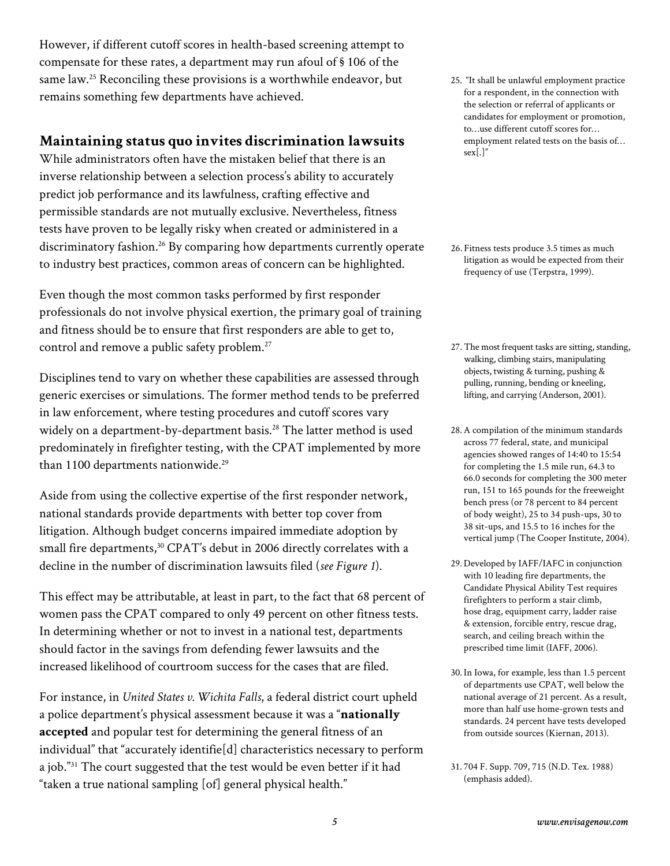However, if different cutoff scores in health-based screening attempt to compensate for these rates, a department may run afoul of § 106 of the same law.<sup>25</sup> Reconciling these provisions is a worthwhile endeavor, but remains something few departments have achieved.

#### **Maintaining status quo invites discrimination lawsuits**

While administrators often have the mistaken belief that there is an inverse relationship between a selection process's ability to accurately predict job performance and its lawfulness, crafting effective and permissible standards are not mutually exclusive. Nevertheless, fitness tests have proven to be legally risky when created or administered in a discriminatory fashion.<sup>26</sup> By comparing how departments currently operate to industry best practices, common areas of concern can be highlighted.

Even though the most common tasks performed by first responder professionals do not involve physical exertion, the primary goal of training and fitness should be to ensure that first responders are able to get to, control and remove a public safety problem.<sup>27</sup>

Disciplines tend to vary on whether these capabilities are assessed through generic exercises or simulations. The former method tends to be preferred in law enforcement, where testing procedures and cutoff scores vary widely on a department-by-department basis.<sup>28</sup> The latter method is used predominately in firefighter testing, with the CPAT implemented by more than 1100 departments nationwide.<sup>29</sup>

Aside from using the collective expertise of the first responder network, national standards provide departments with better top cover from litigation. Although budget concerns impaired immediate adoption by small fire departments,<sup>30</sup> CPAT's debut in 2006 directly correlates with a decline in the number of discrimination lawsuits filed (*see Figure 1*).

This effect may be attributable, at least in part, to the fact that 68 percent of women pass the CPAT compared to only 49 percent on other fitness tests. In determining whether or not to invest in a national test, departments should factor in the savings from defending fewer lawsuits and the increased likelihood of courtroom success for the cases that are filed.

For instance, in *United States v. Wichita Falls*, a federal district court upheld a police department's physical assessment because it was a "**nationally accepted** and popular test for determining the general fitness of an individual" that "accurately identifie[d] characteristics necessary to perform a job."31 The court suggested that the test would be even better if it had "taken a true national sampling [of] general physical health."

25. "It shall be unlawful employment practice for a respondent, in the connection with the selection or referral of applicants or candidates for employment or promotion, to…use different cutoff scores for… employment related tests on the basis of… sex[.]"

26. Fitness tests produce 3.5 times as much litigation as would be expected from their frequency of use (Terpstra, 1999).

- 27. The most frequent tasks are sitting, standing, walking, climbing stairs, manipulating objects, twisting & turning, pushing & pulling, running, bending or kneeling, lifting, and carrying (Anderson, 2001).
- 28.A compilation of the minimum standards across 77 federal, state, and municipal agencies showed ranges of 14:40 to 15:54 for completing the 1.5 mile run, 64.3 to 66.0 seconds for completing the 300 meter run, 151 to 165 pounds for the freeweight bench press (or 78 percent to 84 percent of body weight), 25 to 34 push-ups, 30 to 38 sit-ups, and 15.5 to 16 inches for the vertical jump (The Cooper Institute, 2004).
- 29. Developed by IAFF/IAFC in conjunction with 10 leading fire departments, the Candidate Physical Ability Test requires firefighters to perform a stair climb, hose drag, equipment carry, ladder raise & extension, forcible entry, rescue drag, search, and ceiling breach within the prescribed time limit (IAFF, 2006).
- 30. In Iowa, for example, less than 1.5 percent of departments use CPAT, well below the national average of 21 percent. As a result, more than half use home-grown tests and standards. 24 percent have tests developed from outside sources (Kiernan, 2013).

<sup>31.</sup> 704 F. Supp. 709, 715 (N.D. Tex. 1988) (emphasis added).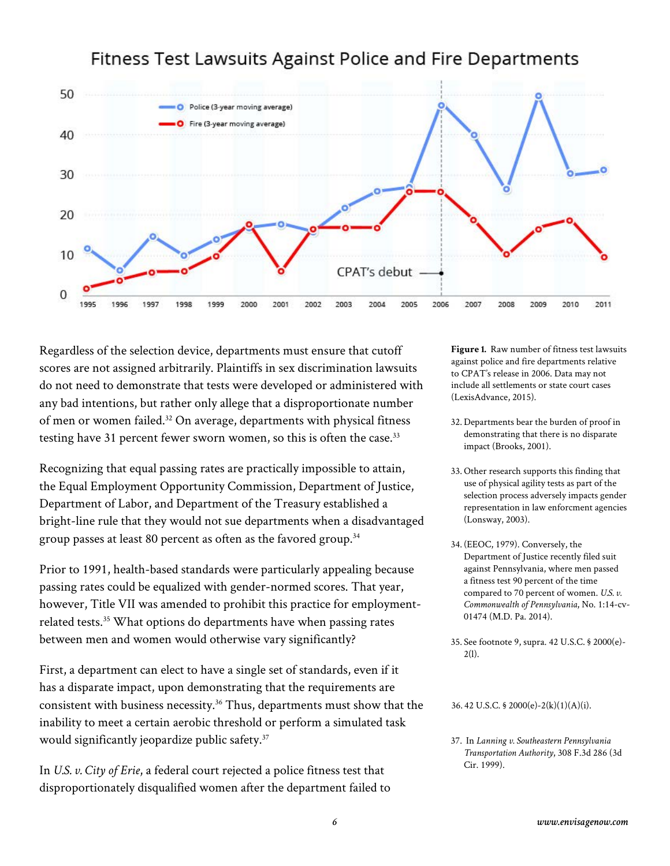# Fitness Test Lawsuits Against Police and Fire Departments



Regardless of the selection device, departments must ensure that cutoff scores are not assigned arbitrarily. Plaintiffs in sex discrimination lawsuits do not need to demonstrate that tests were developed or administered with any bad intentions, but rather only allege that a disproportionate number of men or women failed.<sup>32</sup> On average, departments with physical fitness testing have 31 percent fewer sworn women, so this is often the case.<sup>33</sup>

Recognizing that equal passing rates are practically impossible to attain, the Equal Employment Opportunity Commission, Department of Justice, Department of Labor, and Department of the Treasury established a bright-line rule that they would not sue departments when a disadvantaged group passes at least 80 percent as often as the favored group.<sup>34</sup>

Prior to 1991, health-based standards were particularly appealing because passing rates could be equalized with gender-normed scores. That year, however, Title VII was amended to prohibit this practice for employmentrelated tests.<sup>35</sup> What options do departments have when passing rates between men and women would otherwise vary significantly?

First, a department can elect to have a single set of standards, even if it has a disparate impact, upon demonstrating that the requirements are consistent with business necessity.36 Thus, departments must show that the inability to meet a certain aerobic threshold or perform a simulated task would significantly jeopardize public safety.<sup>37</sup>

In *U.S. v. City of Erie*, a federal court rejected a police fitness test that disproportionately disqualified women after the department failed to **Figure 1.** Raw number of fitness test lawsuits against police and fire departments relative to CPAT's release in 2006. Data may not include all settlements or state court cases (LexisAdvance, 2015).

- 32. Departments bear the burden of proof in demonstrating that there is no disparate impact (Brooks, 2001).
- 33. Other research supports this finding that use of physical agility tests as part of the selection process adversely impacts gender representation in law enforcment agencies (Lonsway, 2003).
- 34. (EEOC, 1979). Conversely, the Department of Justice recently filed suit against Pennsylvania, where men passed a fitness test 90 percent of the time compared to 70 percent of women. *U.S. v. Commonwealth of Pennsylvania*, No. 1:14-cv-01474 (M.D. Pa. 2014).
- 35. See footnote 9, supra. 42 U.S.C. § 2000(e)-  $2(1)$ .

36. 42 U.S.C. § 2000(e)-2(k)(1)(A)(i).

37. In *Lanning v. Southeastern Pennsylvania Transportation Authority*, 308 F.3d 286 (3d Cir. 1999).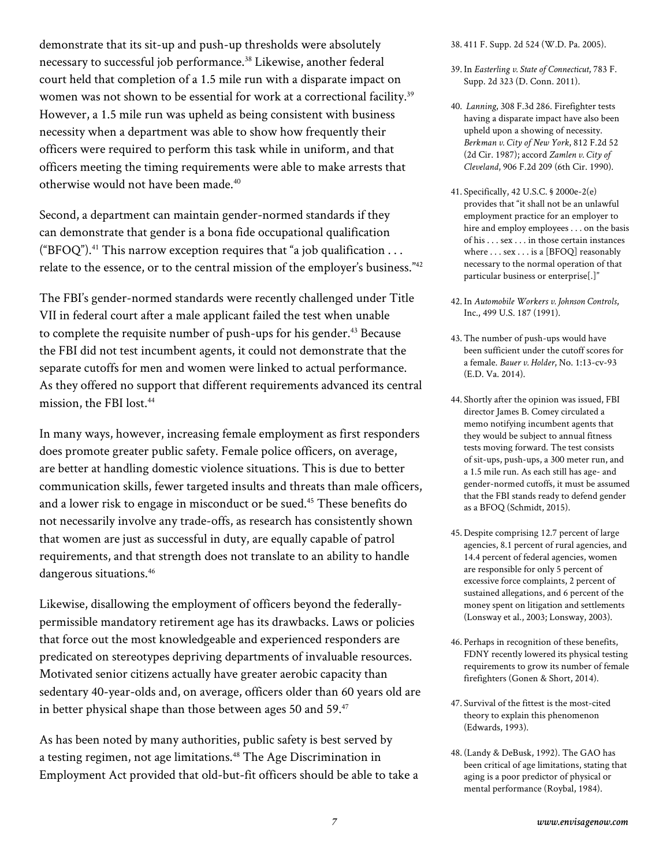demonstrate that its sit-up and push-up thresholds were absolutely necessary to successful job performance.<sup>38</sup> Likewise, another federal court held that completion of a 1.5 mile run with a disparate impact on women was not shown to be essential for work at a correctional facility.<sup>39</sup> However, a 1.5 mile run was upheld as being consistent with business necessity when a department was able to show how frequently their officers were required to perform this task while in uniform, and that officers meeting the timing requirements were able to make arrests that otherwise would not have been made.40

Second, a department can maintain gender-normed standards if they can demonstrate that gender is a bona fide occupational qualification ("BFOQ").<sup>41</sup> This narrow exception requires that "a job qualification ... relate to the essence, or to the central mission of the employer's business."42

The FBI's gender-normed standards were recently challenged under Title VII in federal court after a male applicant failed the test when unable to complete the requisite number of push-ups for his gender.<sup>43</sup> Because the FBI did not test incumbent agents, it could not demonstrate that the separate cutoffs for men and women were linked to actual performance. As they offered no support that different requirements advanced its central mission, the FBI lost.44

In many ways, however, increasing female employment as first responders does promote greater public safety. Female police officers, on average, are better at handling domestic violence situations. This is due to better communication skills, fewer targeted insults and threats than male officers, and a lower risk to engage in misconduct or be sued.45 These benefits do not necessarily involve any trade-offs, as research has consistently shown that women are just as successful in duty, are equally capable of patrol requirements, and that strength does not translate to an ability to handle dangerous situations.<sup>46</sup>

Likewise, disallowing the employment of officers beyond the federallypermissible mandatory retirement age has its drawbacks. Laws or policies that force out the most knowledgeable and experienced responders are predicated on stereotypes depriving departments of invaluable resources. Motivated senior citizens actually have greater aerobic capacity than sedentary 40-year-olds and, on average, officers older than 60 years old are in better physical shape than those between ages 50 and 59. $47$ 

As has been noted by many authorities, public safety is best served by a testing regimen, not age limitations.48 The Age Discrimination in Employment Act provided that old-but-fit officers should be able to take a 38. 411 F. Supp. 2d 524 (W.D. Pa. 2005).

- 39. In *Easterling v. State of Connecticut*, 783 F. Supp. 2d 323 (D. Conn. 2011).
- 40. *Lanning*, 308 F.3d 286. Firefighter tests having a disparate impact have also been upheld upon a showing of necessity. *Berkman v. City of New York*, 812 F.2d 52 (2d Cir. 1987); accord *Zamlen v. City of Cleveland*, 906 F.2d 209 (6th Cir. 1990).
- 41. Specifically, 42 U.S.C. § 2000e-2(e) provides that "it shall not be an unlawful employment practice for an employer to hire and employ employees . . . on the basis of his . . . sex . . . in those certain instances where . . . sex . . . is a [BFOQ] reasonably necessary to the normal operation of that particular business or enterprise[.]"
- 42. In *Automobile Workers v. Johnson Controls*, Inc., 499 U.S. 187 (1991).
- 43.The number of push-ups would have been sufficient under the cutoff scores for a female. *Bauer v. Holder*, No. 1:13-cv-93 (E.D. Va. 2014).
- 44. Shortly after the opinion was issued, FBI director James B. Comey circulated a memo notifying incumbent agents that they would be subject to annual fitness tests moving forward. The test consists of sit-ups, push-ups, a 300 meter run, and a 1.5 mile run. As each still has age- and gender-normed cutoffs, it must be assumed that the FBI stands ready to defend gender as a BFOQ (Schmidt, 2015).
- 45. Despite comprising 12.7 percent of large agencies, 8.1 percent of rural agencies, and 14.4 percent of federal agencies, women are responsible for only 5 percent of excessive force complaints, 2 percent of sustained allegations, and 6 percent of the money spent on litigation and settlements (Lonsway et al., 2003; Lonsway, 2003).
- 46. Perhaps in recognition of these benefits, FDNY recently lowered its physical testing requirements to grow its number of female firefighters (Gonen & Short, 2014).
- 47. Survival of the fittest is the most-cited theory to explain this phenomenon (Edwards, 1993).
- 48. (Landy & DeBusk, 1992). The GAO has been critical of age limitations, stating that aging is a poor predictor of physical or mental performance (Roybal, 1984).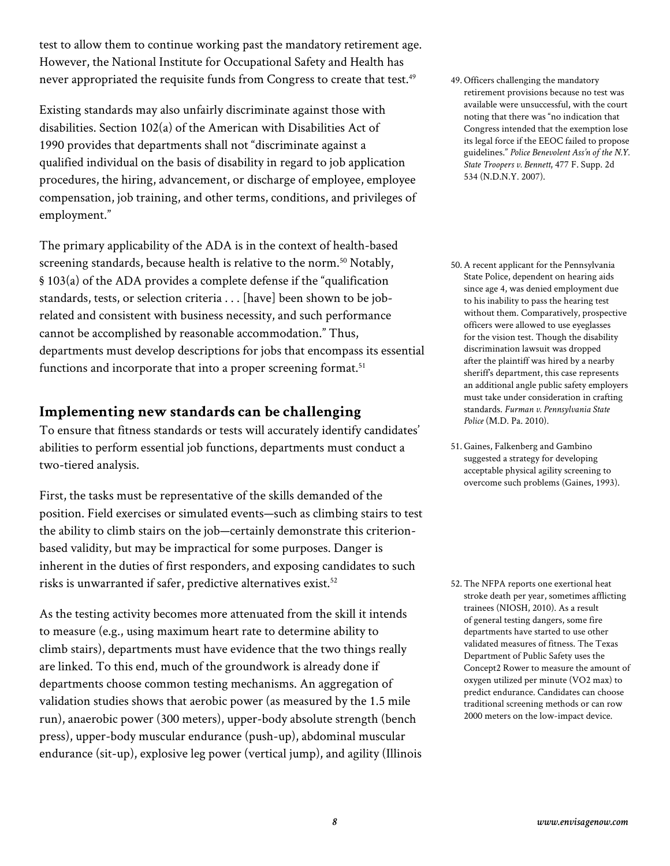test to allow them to continue working past the mandatory retirement age. However, the National Institute for Occupational Safety and Health has never appropriated the requisite funds from Congress to create that test.<sup>49</sup>

Existing standards may also unfairly discriminate against those with disabilities. Section 102(a) of the American with Disabilities Act of 1990 provides that departments shall not "discriminate against a qualified individual on the basis of disability in regard to job application procedures, the hiring, advancement, or discharge of employee, employee compensation, job training, and other terms, conditions, and privileges of employment."

The primary applicability of the ADA is in the context of health-based screening standards, because health is relative to the norm.<sup>50</sup> Notably, § 103(a) of the ADA provides a complete defense if the "qualification standards, tests, or selection criteria . . . [have] been shown to be jobrelated and consistent with business necessity, and such performance cannot be accomplished by reasonable accommodation." Thus, departments must develop descriptions for jobs that encompass its essential functions and incorporate that into a proper screening format.<sup>51</sup>

### **Implementing new standards can be challenging**

To ensure that fitness standards or tests will accurately identify candidates' abilities to perform essential job functions, departments must conduct a two-tiered analysis.

First, the tasks must be representative of the skills demanded of the position. Field exercises or simulated events—such as climbing stairs to test the ability to climb stairs on the job—certainly demonstrate this criterionbased validity, but may be impractical for some purposes. Danger is inherent in the duties of first responders, and exposing candidates to such risks is unwarranted if safer, predictive alternatives exist.<sup>52</sup>

As the testing activity becomes more attenuated from the skill it intends to measure (e.g., using maximum heart rate to determine ability to climb stairs), departments must have evidence that the two things really are linked. To this end, much of the groundwork is already done if departments choose common testing mechanisms. An aggregation of validation studies shows that aerobic power (as measured by the 1.5 mile run), anaerobic power (300 meters), upper-body absolute strength (bench press), upper-body muscular endurance (push-up), abdominal muscular endurance (sit-up), explosive leg power (vertical jump), and agility (Illinois

- 49. Officers challenging the mandatory retirement provisions because no test was available were unsuccessful, with the court noting that there was "no indication that Congress intended that the exemption lose its legal force if the EEOC failed to propose guidelines." *Police Benevolent Ass'n of the N.Y. State Troopers v. Bennett*, 477 F. Supp. 2d 534 (N.D.N.Y. 2007).
- 50.A recent applicant for the Pennsylvania State Police, dependent on hearing aids since age 4, was denied employment due to his inability to pass the hearing test without them. Comparatively, prospective officers were allowed to use eyeglasses for the vision test. Though the disability discrimination lawsuit was dropped after the plaintiff was hired by a nearby sheriff's department, this case represents an additional angle public safety employers must take under consideration in crafting standards. *Furman v. Pennsylvania State Police* (M.D. Pa. 2010).
- 51.Gaines, Falkenberg and Gambino suggested a strategy for developing acceptable physical agility screening to overcome such problems (Gaines, 1993).

52.The NFPA reports one exertional heat stroke death per year, sometimes afflicting trainees (NIOSH, 2010). As a result of general testing dangers, some fire departments have started to use other validated measures of fitness. The Texas Department of Public Safety uses the Concept2 Rower to measure the amount of oxygen utilized per minute (VO2 max) to predict endurance. Candidates can choose traditional screening methods or can row 2000 meters on the low-impact device.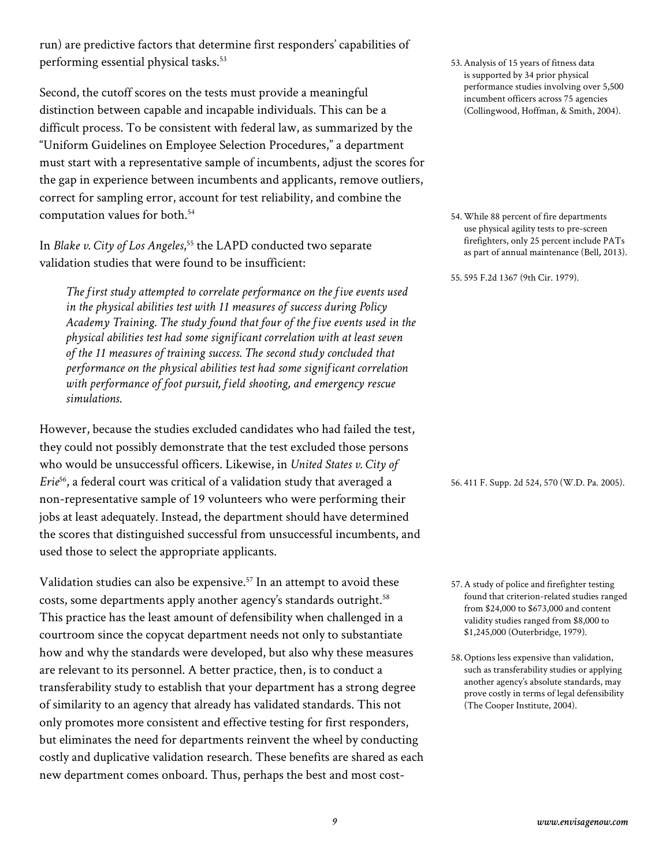run) are predictive factors that determine first responders' capabilities of performing essential physical tasks.<sup>53</sup>

Second, the cutoff scores on the tests must provide a meaningful distinction between capable and incapable individuals. This can be a difficult process. To be consistent with federal law, as summarized by the "Uniform Guidelines on Employee Selection Procedures," a department must start with a representative sample of incumbents, adjust the scores for the gap in experience between incumbents and applicants, remove outliers, correct for sampling error, account for test reliability, and combine the computation values for both.54

In *Blake v. City of Los Angeles*, 55 the LAPD conducted two separate validation studies that were found to be insufficient:

*The first study attempted to correlate performance on the five events used in the physical abilities test with 11 measures of success during Policy Academy Training. The study found that four of the five events used in the physical abilities test had some significant correlation with at least seven of the 11 measures of training success. The second study concluded that performance on the physical abilities test had some significant correlation with performance of foot pursuit, field shooting, and emergency rescue simulations.*

However, because the studies excluded candidates who had failed the test, they could not possibly demonstrate that the test excluded those persons who would be unsuccessful officers. Likewise, in *United States v. City of Erie*56, a federal court was critical of a validation study that averaged a non-representative sample of 19 volunteers who were performing their jobs at least adequately. Instead, the department should have determined the scores that distinguished successful from unsuccessful incumbents, and used those to select the appropriate applicants.

Validation studies can also be expensive.<sup>57</sup> In an attempt to avoid these costs, some departments apply another agency's standards outright.<sup>58</sup> This practice has the least amount of defensibility when challenged in a courtroom since the copycat department needs not only to substantiate how and why the standards were developed, but also why these measures are relevant to its personnel. A better practice, then, is to conduct a transferability study to establish that your department has a strong degree of similarity to an agency that already has validated standards. This not only promotes more consistent and effective testing for first responders, but eliminates the need for departments reinvent the wheel by conducting costly and duplicative validation research. These benefits are shared as each new department comes onboard. Thus, perhaps the best and most cost53.Analysis of 15 years of fitness data is supported by 34 prior physical performance studies involving over 5,500 incumbent officers across 75 agencies (Collingwood, Hoffman, & Smith, 2004).

54.While 88 percent of fire departments use physical agility tests to pre-screen firefighters, only 25 percent include PATs as part of annual maintenance (Bell, 2013).

55. 595 F.2d 1367 (9th Cir. 1979).

56. 411 F. Supp. 2d 524, 570 (W.D. Pa. 2005).

- 57.A study of police and firefighter testing found that criterion-related studies ranged from \$24,000 to \$673,000 and content validity studies ranged from \$8,000 to \$1,245,000 (Outerbridge, 1979).
- 58. Options less expensive than validation, such as transferability studies or applying another agency's absolute standards, may prove costly in terms of legal defensibility (The Cooper Institute, 2004).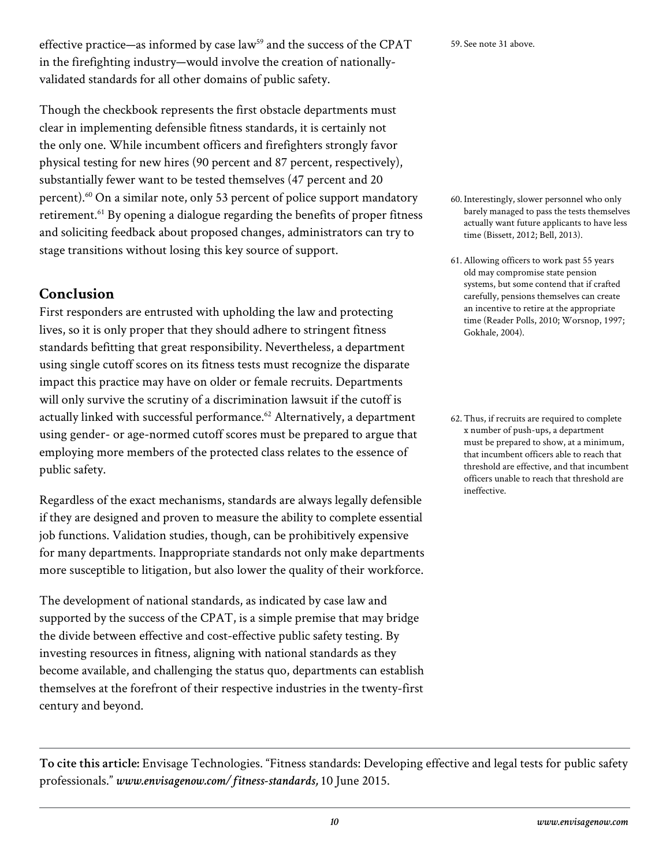effective practice—as informed by case law<sup>59</sup> and the success of the CPAT in the firefighting industry—would involve the creation of nationallyvalidated standards for all other domains of public safety.

Though the checkbook represents the first obstacle departments must clear in implementing defensible fitness standards, it is certainly not the only one. While incumbent officers and firefighters strongly favor physical testing for new hires (90 percent and 87 percent, respectively), substantially fewer want to be tested themselves (47 percent and 20 percent).<sup>60</sup> On a similar note, only 53 percent of police support mandatory retirement.<sup>61</sup> By opening a dialogue regarding the benefits of proper fitness and soliciting feedback about proposed changes, administrators can try to stage transitions without losing this key source of support.

# **Conclusion**

First responders are entrusted with upholding the law and protecting lives, so it is only proper that they should adhere to stringent fitness standards befitting that great responsibility. Nevertheless, a department using single cutoff scores on its fitness tests must recognize the disparate impact this practice may have on older or female recruits. Departments will only survive the scrutiny of a discrimination lawsuit if the cutoff is actually linked with successful performance.<sup>62</sup> Alternatively, a department using gender- or age-normed cutoff scores must be prepared to argue that employing more members of the protected class relates to the essence of public safety.

Regardless of the exact mechanisms, standards are always legally defensible if they are designed and proven to measure the ability to complete essential job functions. Validation studies, though, can be prohibitively expensive for many departments. Inappropriate standards not only make departments more susceptible to litigation, but also lower the quality of their workforce.

The development of national standards, as indicated by case law and supported by the success of the CPAT, is a simple premise that may bridge the divide between effective and cost-effective public safety testing. By investing resources in fitness, aligning with national standards as they become available, and challenging the status quo, departments can establish themselves at the forefront of their respective industries in the twenty-first century and beyond.

59. See note 31 above.

- 60. Interestingly, slower personnel who only barely managed to pass the tests themselves actually want future applicants to have less time (Bissett, 2012; Bell, 2013).
- 61.Allowing officers to work past 55 years old may compromise state pension systems, but some contend that if crafted carefully, pensions themselves can create an incentive to retire at the appropriate time (Reader Polls, 2010; Worsnop, 1997; Gokhale, 2004).
- 62.Thus, if recruits are required to complete x number of push-ups, a department must be prepared to show, at a minimum, that incumbent officers able to reach that threshold are effective, and that incumbent officers unable to reach that threshold are ineffective.

**To cite this article:** Envisage Technologies. "Fitness standards: Developing effective and legal tests for public safety professionals." *www.envisagenow.com/fitness-standards,* 10 June 2015.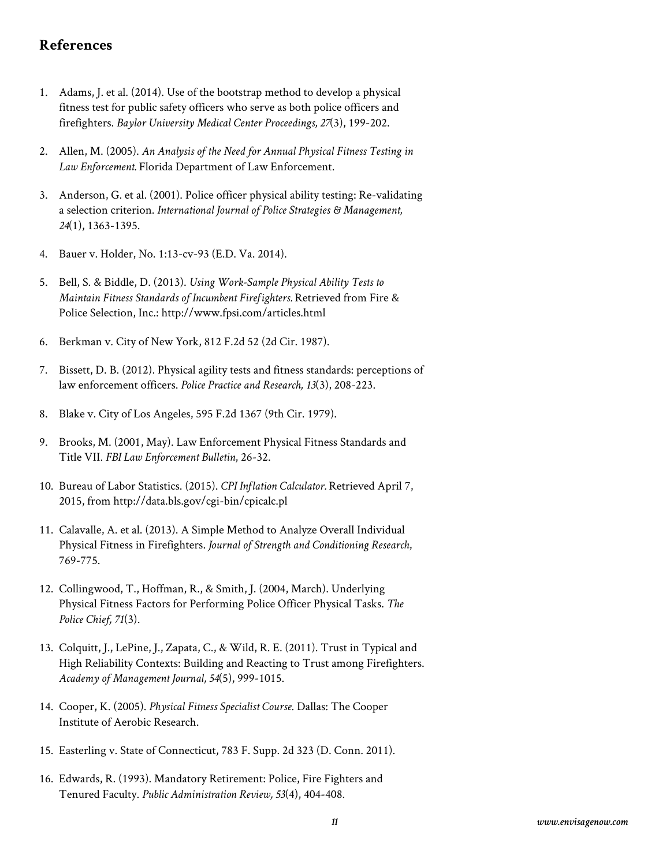#### **References**

- 1. Adams, J. et al. (2014). Use of the bootstrap method to develop a physical fitness test for public safety officers who serve as both police officers and firefighters. *Baylor University Medical Center Proceedings, 27*(3), 199-202.
- 2. Allen, M. (2005). *An Analysis of the Need for Annual Physical Fitness Testing in Law Enforcement.* Florida Department of Law Enforcement.
- 3. Anderson, G. et al. (2001). Police officer physical ability testing: Re-validating a selection criterion. *International Journal of Police Strategies & Management, 24*(1), 1363-1395.
- 4. Bauer v. Holder, No. 1:13-cv-93 (E.D. Va. 2014).
- 5. Bell, S. & Biddle, D. (2013). *Using Work-Sample Physical Ability Tests to Maintain Fitness Standards of Incumbent Firefighters.* Retrieved from Fire & Police Selection, Inc.: http://www.fpsi.com/articles.html
- 6. Berkman v. City of New York, 812 F.2d 52 (2d Cir. 1987).
- 7. Bissett, D. B. (2012). Physical agility tests and fitness standards: perceptions of law enforcement officers. *Police Practice and Research, 13*(3), 208-223.
- 8. Blake v. City of Los Angeles, 595 F.2d 1367 (9th Cir. 1979).
- 9. Brooks, M. (2001, May). Law Enforcement Physical Fitness Standards and Title VII. *FBI Law Enforcement Bulletin*, 26-32.
- 10. Bureau of Labor Statistics. (2015). *CPI Inflation Calculator.* Retrieved April 7, 2015, from http://data.bls.gov/cgi-bin/cpicalc.pl
- 11. Calavalle, A. et al. (2013). A Simple Method to Analyze Overall Individual Physical Fitness in Firefighters. *Journal of Strength and Conditioning Research*, 769-775.
- 12. Collingwood, T., Hoffman, R., & Smith, J. (2004, March). Underlying Physical Fitness Factors for Performing Police Officer Physical Tasks. *The Police Chief, 71*(3).
- 13. Colquitt, J., LePine, J., Zapata, C., & Wild, R. E. (2011). Trust in Typical and High Reliability Contexts: Building and Reacting to Trust among Firefighters. *Academy of Management Journal, 54*(5), 999-1015.
- 14. Cooper, K. (2005). *Physical Fitness Specialist Course*. Dallas: The Cooper Institute of Aerobic Research.
- 15. Easterling v. State of Connecticut, 783 F. Supp. 2d 323 (D. Conn. 2011).
- 16. Edwards, R. (1993). Mandatory Retirement: Police, Fire Fighters and Tenured Faculty. *Public Administration Review, 53*(4), 404-408.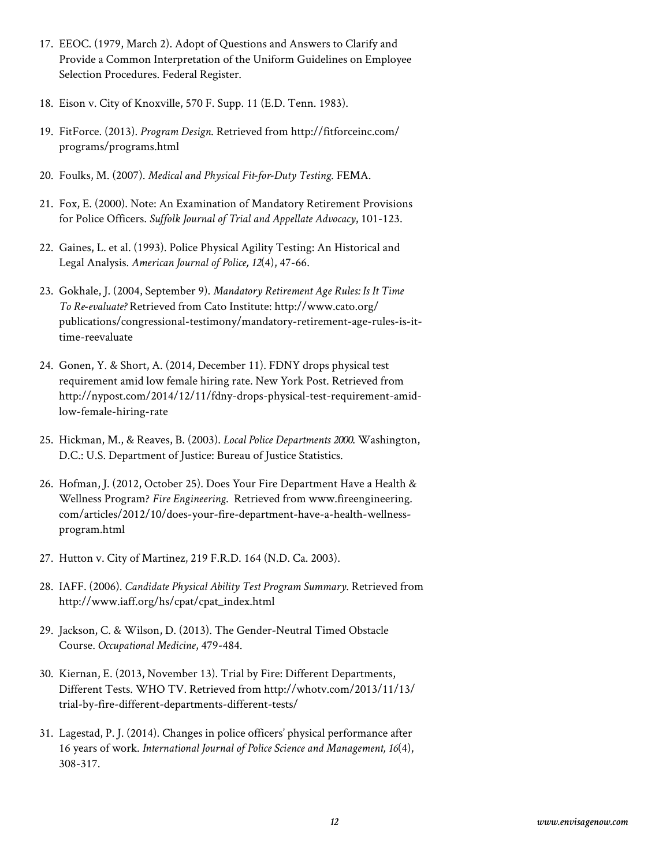- 17. EEOC. (1979, March 2). Adopt of Questions and Answers to Clarify and Provide a Common Interpretation of the Uniform Guidelines on Employee Selection Procedures. Federal Register.
- 18. Eison v. City of Knoxville, 570 F. Supp. 11 (E.D. Tenn. 1983).
- 19. FitForce. (2013). *Program Design*. Retrieved from http://fitforceinc.com/ programs/programs.html
- 20. Foulks, M. (2007). *Medical and Physical Fit-for-Duty Testing*. FEMA.
- 21. Fox, E. (2000). Note: An Examination of Mandatory Retirement Provisions for Police Officers. *Suffolk Journal of Trial and Appellate Advocacy*, 101-123.
- 22. Gaines, L. et al. (1993). Police Physical Agility Testing: An Historical and Legal Analysis. *American Journal of Police, 12*(4), 47-66.
- 23. Gokhale, J. (2004, September 9). *Mandatory Retirement Age Rules: Is It Time To Re-evaluate?* Retrieved from Cato Institute: http://www.cato.org/ publications/congressional-testimony/mandatory-retirement-age-rules-is-ittime-reevaluate
- 24. Gonen, Y. & Short, A. (2014, December 11). FDNY drops physical test requirement amid low female hiring rate. New York Post. Retrieved from http://nypost.com/2014/12/11/fdny-drops-physical-test-requirement-amidlow-female-hiring-rate
- 25. Hickman, M., & Reaves, B. (2003). *Local Police Departments 2000*. Washington, D.C.: U.S. Department of Justice: Bureau of Justice Statistics.
- 26. Hofman, J. (2012, October 25). Does Your Fire Department Have a Health & Wellness Program? *Fire Engineering*. Retrieved from www.fireengineering. com/articles/2012/10/does-your-fire-department-have-a-health-wellnessprogram.html
- 27. Hutton v. City of Martinez, 219 F.R.D. 164 (N.D. Ca. 2003).
- 28. IAFF. (2006). *Candidate Physical Ability Test Program Summary*. Retrieved from http://www.iaff.org/hs/cpat/cpat\_index.html
- 29. Jackson, C. & Wilson, D. (2013). The Gender-Neutral Timed Obstacle Course. *Occupational Medicine*, 479-484.
- 30. Kiernan, E. (2013, November 13). Trial by Fire: Different Departments, Different Tests. WHO TV. Retrieved from http://whotv.com/2013/11/13/ trial-by-fire-different-departments-different-tests/
- 31. Lagestad, P. J. (2014). Changes in police officers' physical performance after 16 years of work. *International Journal of Police Science and Management, 16*(4), 308-317.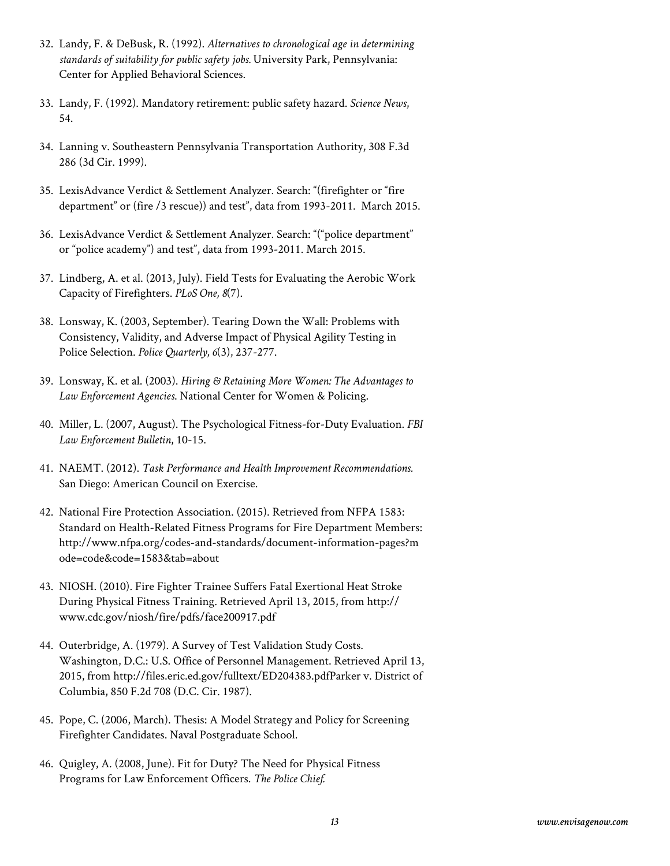- 32. Landy, F. & DeBusk, R. (1992). *Alternatives to chronological age in determining standards of suitability for public safety jobs.* University Park, Pennsylvania: Center for Applied Behavioral Sciences.
- 33. Landy, F. (1992). Mandatory retirement: public safety hazard. *Science News*, 54.
- 34. Lanning v. Southeastern Pennsylvania Transportation Authority, 308 F.3d 286 (3d Cir. 1999).
- 35. LexisAdvance Verdict & Settlement Analyzer. Search: "(firefighter or "fire department" or (fire /3 rescue)) and test", data from 1993-2011. March 2015.
- 36. LexisAdvance Verdict & Settlement Analyzer. Search: "("police department" or "police academy") and test", data from 1993-2011. March 2015.
- 37. Lindberg, A. et al. (2013, July). Field Tests for Evaluating the Aerobic Work Capacity of Firefighters. *PLoS One, 8*(7).
- 38. Lonsway, K. (2003, September). Tearing Down the Wall: Problems with Consistency, Validity, and Adverse Impact of Physical Agility Testing in Police Selection. *Police Quarterly, 6*(3), 237-277.
- 39. Lonsway, K. et al. (2003). *Hiring & Retaining More Women: The Advantages to Law Enforcement Agencies*. National Center for Women & Policing.
- 40. Miller, L. (2007, August). The Psychological Fitness-for-Duty Evaluation. *FBI Law Enforcement Bulletin*, 10-15.
- 41. NAEMT. (2012). *Task Performance and Health Improvement Recommendations.* San Diego: American Council on Exercise.
- 42. National Fire Protection Association. (2015). Retrieved from NFPA 1583: Standard on Health-Related Fitness Programs for Fire Department Members: http://www.nfpa.org/codes-and-standards/document-information-pages?m ode=code&code=1583&tab=about
- 43. NIOSH. (2010). Fire Fighter Trainee Suffers Fatal Exertional Heat Stroke During Physical Fitness Training. Retrieved April 13, 2015, from http:// www.cdc.gov/niosh/fire/pdfs/face200917.pdf
- 44. Outerbridge, A. (1979). A Survey of Test Validation Study Costs. Washington, D.C.: U.S. Office of Personnel Management. Retrieved April 13, 2015, from http://files.eric.ed.gov/fulltext/ED204383.pdfParker v. District of Columbia, 850 F.2d 708 (D.C. Cir. 1987).
- 45. Pope, C. (2006, March). Thesis: A Model Strategy and Policy for Screening Firefighter Candidates. Naval Postgraduate School.
- 46. Quigley, A. (2008, June). Fit for Duty? The Need for Physical Fitness Programs for Law Enforcement Officers. *The Police Chief.*